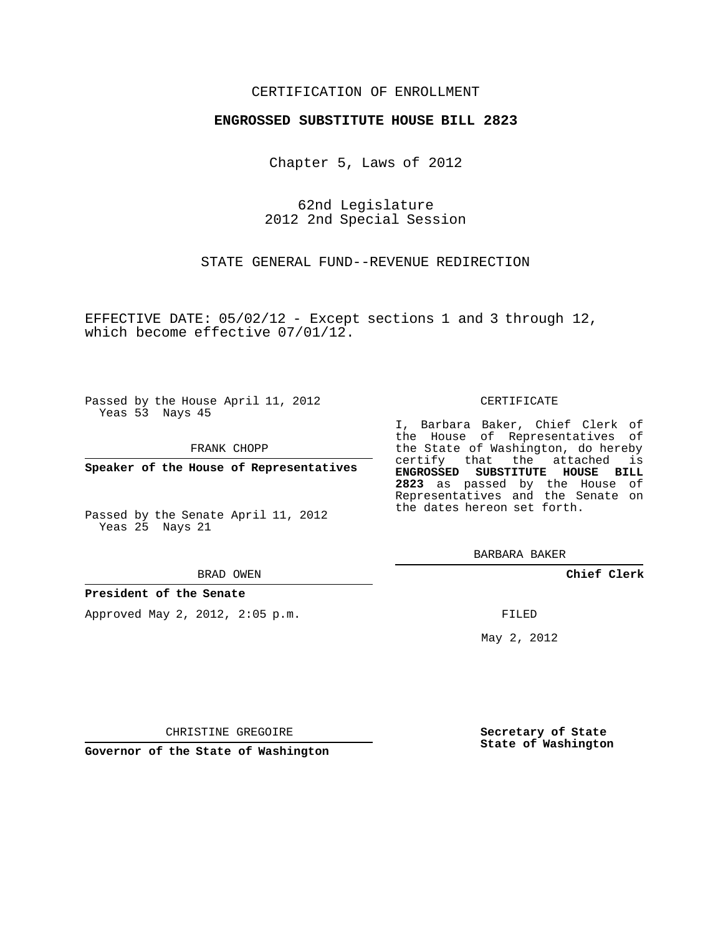## CERTIFICATION OF ENROLLMENT

## **ENGROSSED SUBSTITUTE HOUSE BILL 2823**

Chapter 5, Laws of 2012

62nd Legislature 2012 2nd Special Session

STATE GENERAL FUND--REVENUE REDIRECTION

EFFECTIVE DATE: 05/02/12 - Except sections 1 and 3 through 12, which become effective 07/01/12.

Passed by the House April 11, 2012 Yeas 53 Nays 45

FRANK CHOPP

**Speaker of the House of Representatives**

Passed by the Senate April 11, 2012 Yeas 25 Nays 21

#### BRAD OWEN

## **President of the Senate**

Approved May 2, 2012, 2:05 p.m.

#### CERTIFICATE

I, Barbara Baker, Chief Clerk of the House of Representatives of the State of Washington, do hereby certify that the attached is **ENGROSSED SUBSTITUTE HOUSE BILL 2823** as passed by the House of Representatives and the Senate on the dates hereon set forth.

BARBARA BAKER

**Chief Clerk**

FILED

May 2, 2012

**Secretary of State State of Washington**

CHRISTINE GREGOIRE

**Governor of the State of Washington**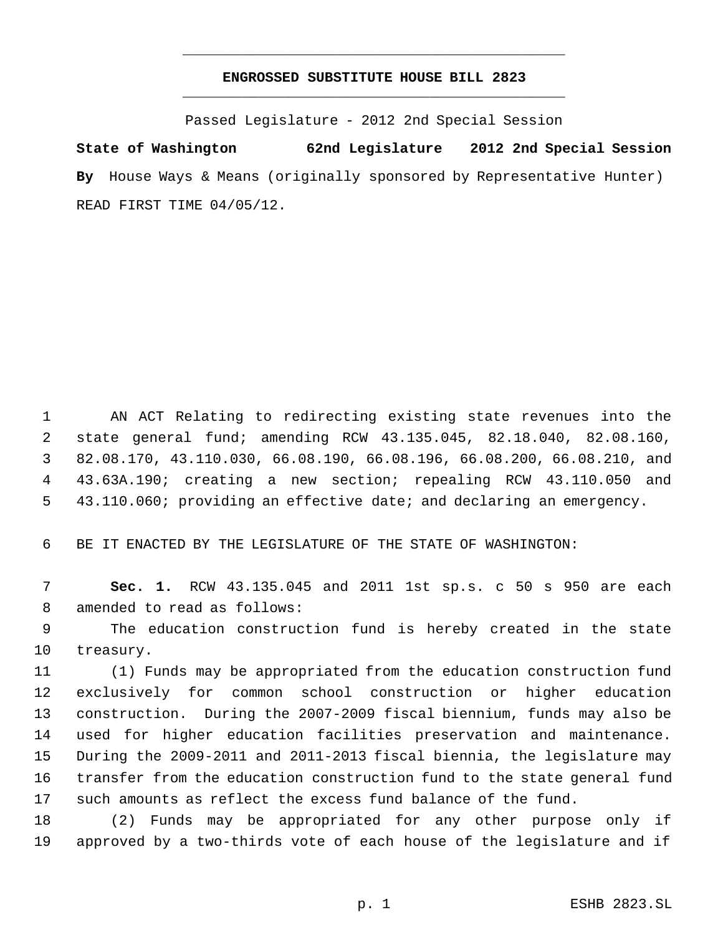# **ENGROSSED SUBSTITUTE HOUSE BILL 2823** \_\_\_\_\_\_\_\_\_\_\_\_\_\_\_\_\_\_\_\_\_\_\_\_\_\_\_\_\_\_\_\_\_\_\_\_\_\_\_\_\_\_\_\_\_

\_\_\_\_\_\_\_\_\_\_\_\_\_\_\_\_\_\_\_\_\_\_\_\_\_\_\_\_\_\_\_\_\_\_\_\_\_\_\_\_\_\_\_\_\_

Passed Legislature - 2012 2nd Special Session

**State of Washington 62nd Legislature 2012 2nd Special Session By** House Ways & Means (originally sponsored by Representative Hunter) READ FIRST TIME 04/05/12.

 AN ACT Relating to redirecting existing state revenues into the state general fund; amending RCW 43.135.045, 82.18.040, 82.08.160, 82.08.170, 43.110.030, 66.08.190, 66.08.196, 66.08.200, 66.08.210, and 43.63A.190; creating a new section; repealing RCW 43.110.050 and 43.110.060; providing an effective date; and declaring an emergency.

BE IT ENACTED BY THE LEGISLATURE OF THE STATE OF WASHINGTON:

 **Sec. 1.** RCW 43.135.045 and 2011 1st sp.s. c 50 s 950 are each amended to read as follows:

 The education construction fund is hereby created in the state treasury.

 (1) Funds may be appropriated from the education construction fund exclusively for common school construction or higher education construction. During the 2007-2009 fiscal biennium, funds may also be used for higher education facilities preservation and maintenance. During the 2009-2011 and 2011-2013 fiscal biennia, the legislature may transfer from the education construction fund to the state general fund such amounts as reflect the excess fund balance of the fund.

 (2) Funds may be appropriated for any other purpose only if approved by a two-thirds vote of each house of the legislature and if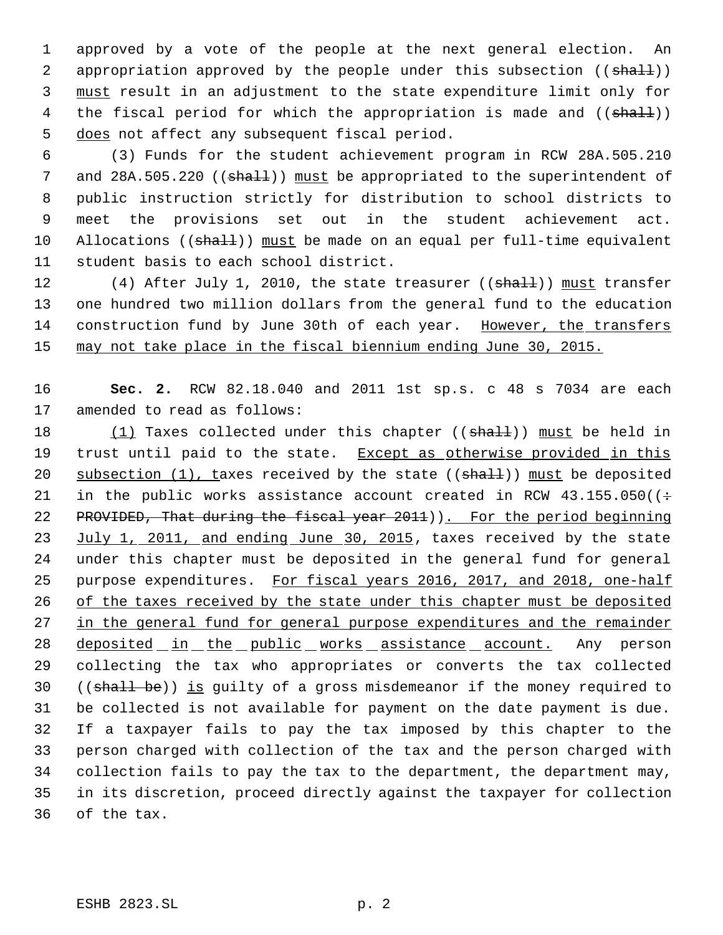1 approved by a vote of the people at the next general election. An 2 appropriation approved by the people under this subsection ((shall)) 3 must result in an adjustment to the state expenditure limit only for 4 the fiscal period for which the appropriation is made and ((shall)) 5 does not affect any subsequent fiscal period.

 (3) Funds for the student achievement program in RCW 28A.505.210 7 and 28A.505.220 ((shall)) must be appropriated to the superintendent of public instruction strictly for distribution to school districts to meet the provisions set out in the student achievement act. 10 Allocations ((shall)) must be made on an equal per full-time equivalent student basis to each school district.

12 (4) After July 1, 2010, the state treasurer ((shall)) must transfer one hundred two million dollars from the general fund to the education construction fund by June 30th of each year. However, the transfers may not take place in the fiscal biennium ending June 30, 2015.

16 **Sec. 2.** RCW 82.18.040 and 2011 1st sp.s. c 48 s 7034 are each 17 amended to read as follows:

18 (1) Taxes collected under this chapter ((shall)) must be held in 19 trust until paid to the state. Except as otherwise provided in this 20 subsection  $(1)$ , taxes received by the state  $((shall))$  must be deposited 21 in the public works assistance account created in RCW  $43.155.050$  ( $\div$ 22 PROVIDED, That during the fiscal year 2011)). For the period beginning 23 July 1, 2011, and ending June 30, 2015, taxes received by the state 24 under this chapter must be deposited in the general fund for general 25 purpose expenditures. For fiscal years 2016, 2017, and 2018, one-half 26 of the taxes received by the state under this chapter must be deposited 27 in the general fund for general purpose expenditures and the remainder 28 deposited in the public works assistance account. Any person 29 collecting the tax who appropriates or converts the tax collected 30 ((shall be)) is guilty of a gross misdemeanor if the money required to 31 be collected is not available for payment on the date payment is due. 32 If a taxpayer fails to pay the tax imposed by this chapter to the 33 person charged with collection of the tax and the person charged with 34 collection fails to pay the tax to the department, the department may, 35 in its discretion, proceed directly against the taxpayer for collection 36 of the tax.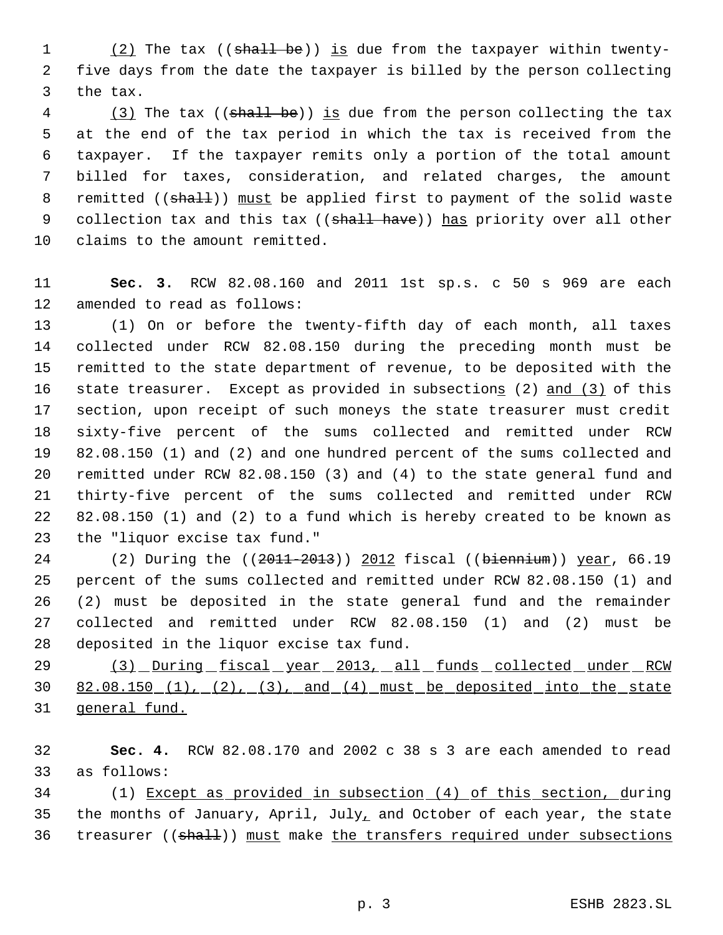1 (2) The tax ((shall be)) is due from the taxpayer within twenty- five days from the date the taxpayer is billed by the person collecting the tax.

4 (3) The tax ((shall be)) is due from the person collecting the tax at the end of the tax period in which the tax is received from the taxpayer. If the taxpayer remits only a portion of the total amount billed for taxes, consideration, and related charges, the amount 8 remitted ((shall)) must be applied first to payment of the solid waste 9 collection tax and this tax ((shall have)) has priority over all other claims to the amount remitted.

 **Sec. 3.** RCW 82.08.160 and 2011 1st sp.s. c 50 s 969 are each amended to read as follows:

 (1) On or before the twenty-fifth day of each month, all taxes collected under RCW 82.08.150 during the preceding month must be remitted to the state department of revenue, to be deposited with the 16 state treasurer. Except as provided in subsections (2) and (3) of this section, upon receipt of such moneys the state treasurer must credit sixty-five percent of the sums collected and remitted under RCW 82.08.150 (1) and (2) and one hundred percent of the sums collected and remitted under RCW 82.08.150 (3) and (4) to the state general fund and thirty-five percent of the sums collected and remitted under RCW 82.08.150 (1) and (2) to a fund which is hereby created to be known as the "liquor excise tax fund."

24 (2) During the ((2011-2013)) 2012 fiscal ((biennium)) year, 66.19 percent of the sums collected and remitted under RCW 82.08.150 (1) and (2) must be deposited in the state general fund and the remainder collected and remitted under RCW 82.08.150 (1) and (2) must be deposited in the liquor excise tax fund.

29 (3) During fiscal year 2013, all funds collected under RCW 82.08.150 (1), (2), (3), and (4) must be deposited into the state general fund.

 **Sec. 4.** RCW 82.08.170 and 2002 c 38 s 3 are each amended to read as follows:

 (1) Except as provided in subsection (4) of this section, during 35 the months of January, April, July<sub>1</sub> and October of each year, the state 36 treasurer ((shall)) must make the transfers required under subsections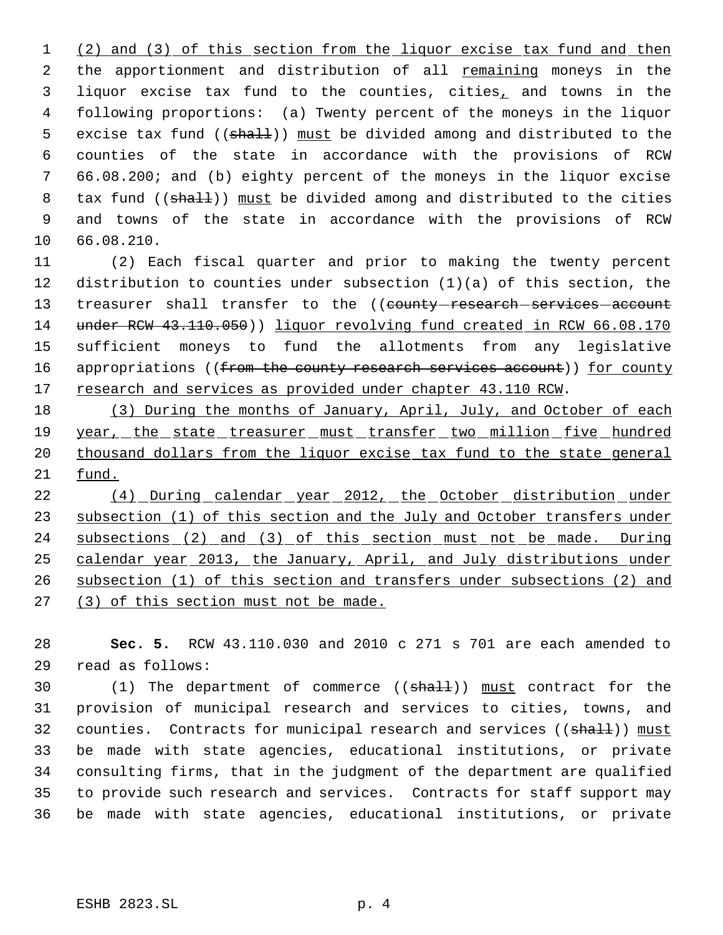(2) and (3) of this section from the liquor excise tax fund and then 2 the apportionment and distribution of all remaining moneys in the liquor excise tax fund to the counties, cities, and towns in the following proportions: (a) Twenty percent of the moneys in the liquor 5 excise tax fund ((shall)) must be divided among and distributed to the counties of the state in accordance with the provisions of RCW 66.08.200; and (b) eighty percent of the moneys in the liquor excise 8 tax fund ((shall)) must be divided among and distributed to the cities and towns of the state in accordance with the provisions of RCW 66.08.210.

 (2) Each fiscal quarter and prior to making the twenty percent distribution to counties under subsection (1)(a) of this section, the 13 treasurer shall transfer to the ((county-research-services-account under RCW 43.110.050)) liquor revolving fund created in RCW 66.08.170 sufficient moneys to fund the allotments from any legislative 16 appropriations ((from the county research services account)) for county 17 research and services as provided under chapter 43.110 RCW.

18 (3) During the months of January, April, July, and October of each 19 year, the state treasurer must transfer two million five hundred 20 thousand dollars from the liquor excise tax fund to the state general fund.

 (4) During calendar year 2012, the October distribution under 23 subsection (1) of this section and the July and October transfers under 24 subsections (2) and (3) of this section must not be made. During calendar year 2013, the January, April, and July distributions under subsection (1) of this section and transfers under subsections (2) and (3) of this section must not be made.

 **Sec. 5.** RCW 43.110.030 and 2010 c 271 s 701 are each amended to read as follows:

30 (1) The department of commerce ((shall)) must contract for the provision of municipal research and services to cities, towns, and 32 counties. Contracts for municipal research and services ((shall)) must be made with state agencies, educational institutions, or private consulting firms, that in the judgment of the department are qualified to provide such research and services. Contracts for staff support may be made with state agencies, educational institutions, or private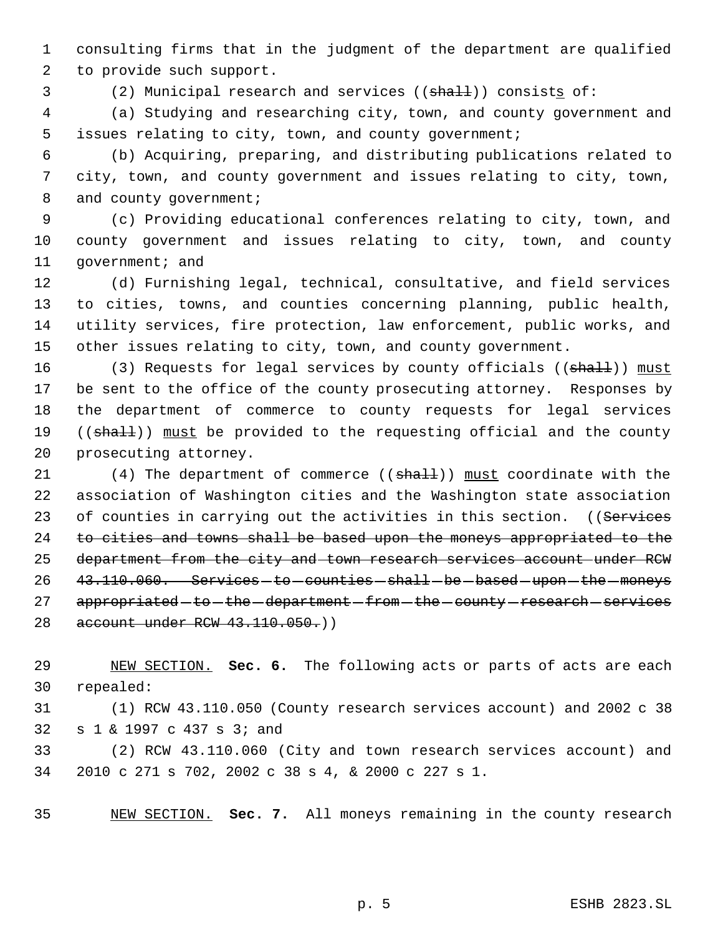consulting firms that in the judgment of the department are qualified to provide such support.

3 (2) Municipal research and services ((shall)) consists of:

 (a) Studying and researching city, town, and county government and issues relating to city, town, and county government;

 (b) Acquiring, preparing, and distributing publications related to city, town, and county government and issues relating to city, town, 8 and county government;

 (c) Providing educational conferences relating to city, town, and county government and issues relating to city, town, and county 11 government; and

 (d) Furnishing legal, technical, consultative, and field services to cities, towns, and counties concerning planning, public health, utility services, fire protection, law enforcement, public works, and other issues relating to city, town, and county government.

16 (3) Requests for legal services by county officials ((shall)) must 17 be sent to the office of the county prosecuting attorney. Responses by the department of commerce to county requests for legal services 19 ((shall)) must be provided to the requesting official and the county prosecuting attorney.

21  $(4)$  The department of commerce  $((shath))$  must coordinate with the association of Washington cities and the Washington state association 23 of counties in carrying out the activities in this section. ((Services to cities and towns shall be based upon the moneys appropriated to the 25 department from the city and town research services account under RCW 26 43.110.060. Services-to-counties-shall-be-based-upon-the-moneys 27 appropriated - to - the - department - from - the - county - research - services account under RCW 43.110.050.))

 NEW SECTION. **Sec. 6.** The following acts or parts of acts are each repealed:

 (1) RCW 43.110.050 (County research services account) and 2002 c 38 s 1 & 1997 c 437 s 3; and

 (2) RCW 43.110.060 (City and town research services account) and 2010 c 271 s 702, 2002 c 38 s 4, & 2000 c 227 s 1.

NEW SECTION. **Sec. 7.** All moneys remaining in the county research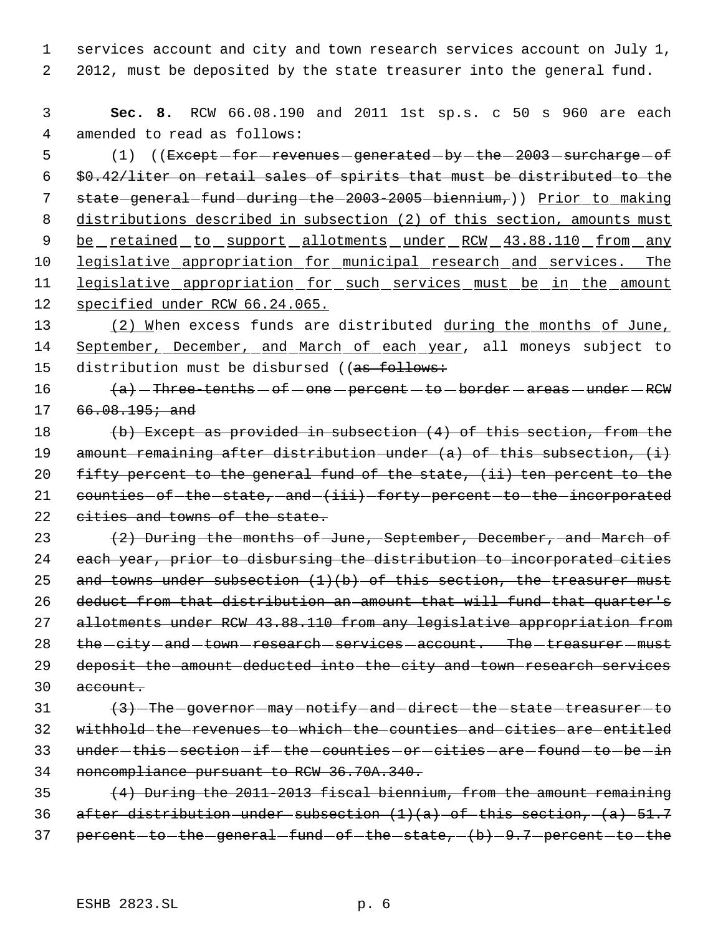1 services account and city and town research services account on July 1, 2 2012, must be deposited by the state treasurer into the general fund.

 3 **Sec. 8.** RCW 66.08.190 and 2011 1st sp.s. c 50 s 960 are each 4 amended to read as follows:

5 (1) ((Except - for - revenues - generated - by - the - 2003 - surcharge - of 6 \$0.42/liter on retail sales of spirits that must be distributed to the 7 state general fund during the 2003-2005 biennium,)) Prior to making 8 distributions described in subsection (2) of this section, amounts must 9 be retained to support allotments under RCW 43.88.110 from any 10 legislative appropriation for municipal research and services. The 11 legislative appropriation for such services must be in the amount 12 specified under RCW 66.24.065.

13 (2) When excess funds are distributed during the months of June, 14 September, December, and March of each year, all moneys subject to 15 distribution must be disbursed ((as follows:

16  $(a)$  - Three-tenths  $-$  of  $-$  one  $-$  percent  $-$  to  $-$  border  $-$  areas  $-$  under  $-$  RCW 17 66.08.195; and

18 (b) Except as provided in subsection (4) of this section, from the 19 amount remaining after distribution under (a) of this subsection, (i) 20 fifty percent to the general fund of the state, (ii) ten percent to the 21 counties of the state, and (iii) forty percent to the incorporated 22 cities and towns of the state.

23  $(2)$  During the months of June, September, December, and March of 24 each year, prior to disbursing the distribution to incorporated cities 25 and towns under subsection  $(1)(b)$  of this section, the treasurer must 26 deduct from that distribution an amount that will fund that quarter's 27 allotments under RCW 43.88.110 from any legislative appropriation from 28 the -city - and - town - research - services - account. The - treasurer - must 29 deposit the amount deducted into the city and town research services 30 account.

  $\left(3\right)$  -The governor may notify and direct the state treasurer to withhold the revenues to which the counties and cities are entitled 33 under-this-section-if-the-counties-or-cities-are-found-to-be-in noncompliance pursuant to RCW 36.70A.340.

35 (4) During the 2011-2013 fiscal biennium, from the amount remaining 36 after distribution-under-subsection  $(1)(a)$  of this section,  $(a)$  51.7 37 percent-to-the-general-fund-of-the-state,  $-(b)-9.7$ -percent-to-the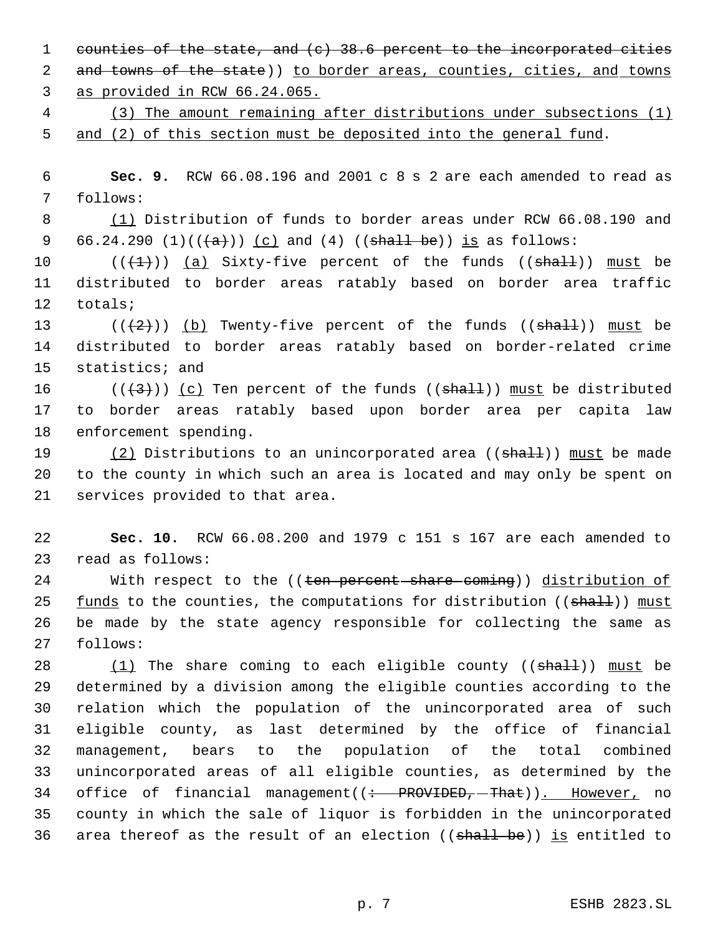1 counties of the state, and (c) 38.6 percent to the incorporated cities 2 and towns of the state)) to border areas, counties, cities, and towns

as provided in RCW 66.24.065.

 (3) The amount remaining after distributions under subsections (1) and (2) of this section must be deposited into the general fund.

 **Sec. 9.** RCW 66.08.196 and 2001 c 8 s 2 are each amended to read as follows:

 (1) Distribution of funds to border areas under RCW 66.08.190 and 9 66.24.290 (1)( $(\frac{1}{a})$ ) (c) and (4) ((shall be)) is as follows:

 $((\{1\})$   $(a)$  Sixty-five percent of the funds  $((shall))$  must be distributed to border areas ratably based on border area traffic totals;

13 ( $(\frac{2}{2})$ ) (b) Twenty-five percent of the funds (( $\frac{1}{2}$ )) must be distributed to border areas ratably based on border-related crime statistics; and

16 ( $(\langle 3 \rangle)$ ) (c) Ten percent of the funds (( $\frac{1}{2}$ )) must be distributed to border areas ratably based upon border area per capita law enforcement spending.

19 (2) Distributions to an unincorporated area ((shall)) must be made to the county in which such an area is located and may only be spent on services provided to that area.

 **Sec. 10.** RCW 66.08.200 and 1979 c 151 s 167 are each amended to read as follows:

24 With respect to the ((ten percent share coming)) distribution of 25  $f$  <u>funds</u> to the counties, the computations for distribution (( $\text{shall})$ ) must be made by the state agency responsible for collecting the same as follows:

 $(1)$  The share coming to each eligible county (( $\text{shall}$ )) must be determined by a division among the eligible counties according to the relation which the population of the unincorporated area of such eligible county, as last determined by the office of financial management, bears to the population of the total combined unincorporated areas of all eligible counties, as determined by the 34 office of financial management( $($  + PROVIDED,  $-$ That)). However, no county in which the sale of liquor is forbidden in the unincorporated 36 area thereof as the result of an election ((shall be)) is entitled to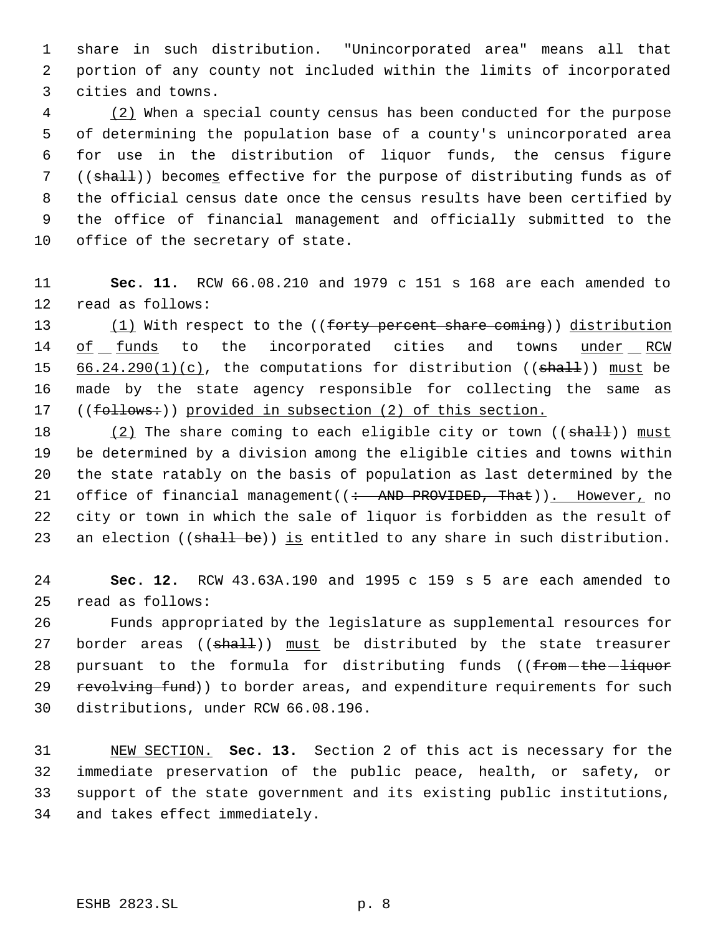share in such distribution. "Unincorporated area" means all that portion of any county not included within the limits of incorporated cities and towns.

4 (2) When a special county census has been conducted for the purpose of determining the population base of a county's unincorporated area for use in the distribution of liquor funds, the census figure ((shall)) becomes effective for the purpose of distributing funds as of the official census date once the census results have been certified by the office of financial management and officially submitted to the office of the secretary of state.

 **Sec. 11.** RCW 66.08.210 and 1979 c 151 s 168 are each amended to read as follows:

13 (1) With respect to the ((forty percent share coming)) distribution 14 of funds to the incorporated cities and towns under RCW 15  $66.24.290(1)(c)$ , the computations for distribution (( $shath$ )) must be made by the state agency responsible for collecting the same as 17 ((follows:)) provided in subsection (2) of this section.

18 (2) The share coming to each eligible city or town ((shall)) must be determined by a division among the eligible cities and towns within the state ratably on the basis of population as last determined by the 21 office of financial management((: AND PROVIDED, That)). However, no city or town in which the sale of liquor is forbidden as the result of 23 an election ((shall be)) is entitled to any share in such distribution.

 **Sec. 12.** RCW 43.63A.190 and 1995 c 159 s 5 are each amended to read as follows:

 Funds appropriated by the legislature as supplemental resources for 27 border areas ((shall)) must be distributed by the state treasurer 28 pursuant to the formula for distributing funds ((from-the-liquor 29 revolving fund)) to border areas, and expenditure requirements for such distributions, under RCW 66.08.196.

 NEW SECTION. **Sec. 13.** Section 2 of this act is necessary for the immediate preservation of the public peace, health, or safety, or support of the state government and its existing public institutions, and takes effect immediately.